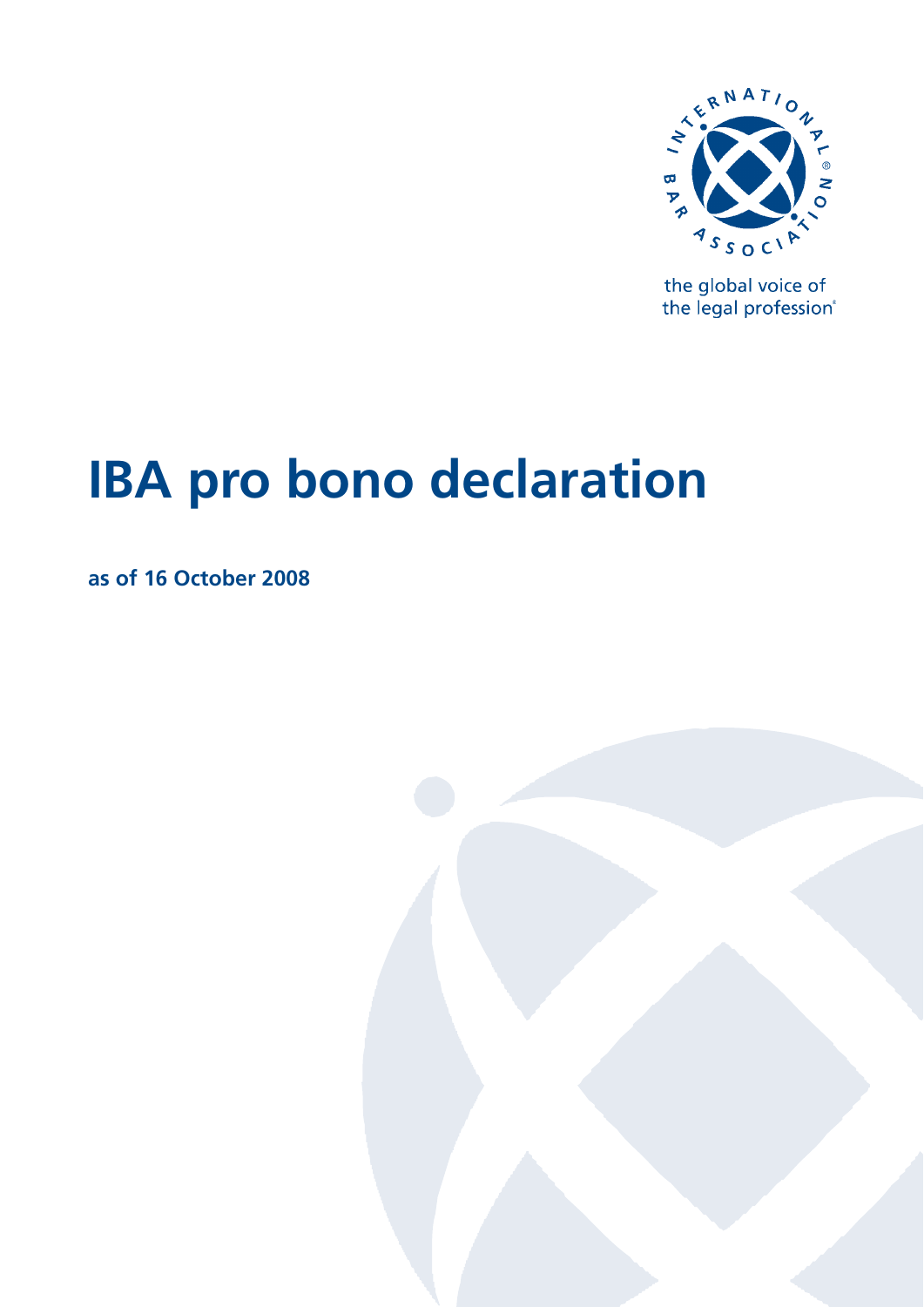

the global voice of<br>the legal profession®

## **IBA pro bono declaration**

**as of 16 October 2008**

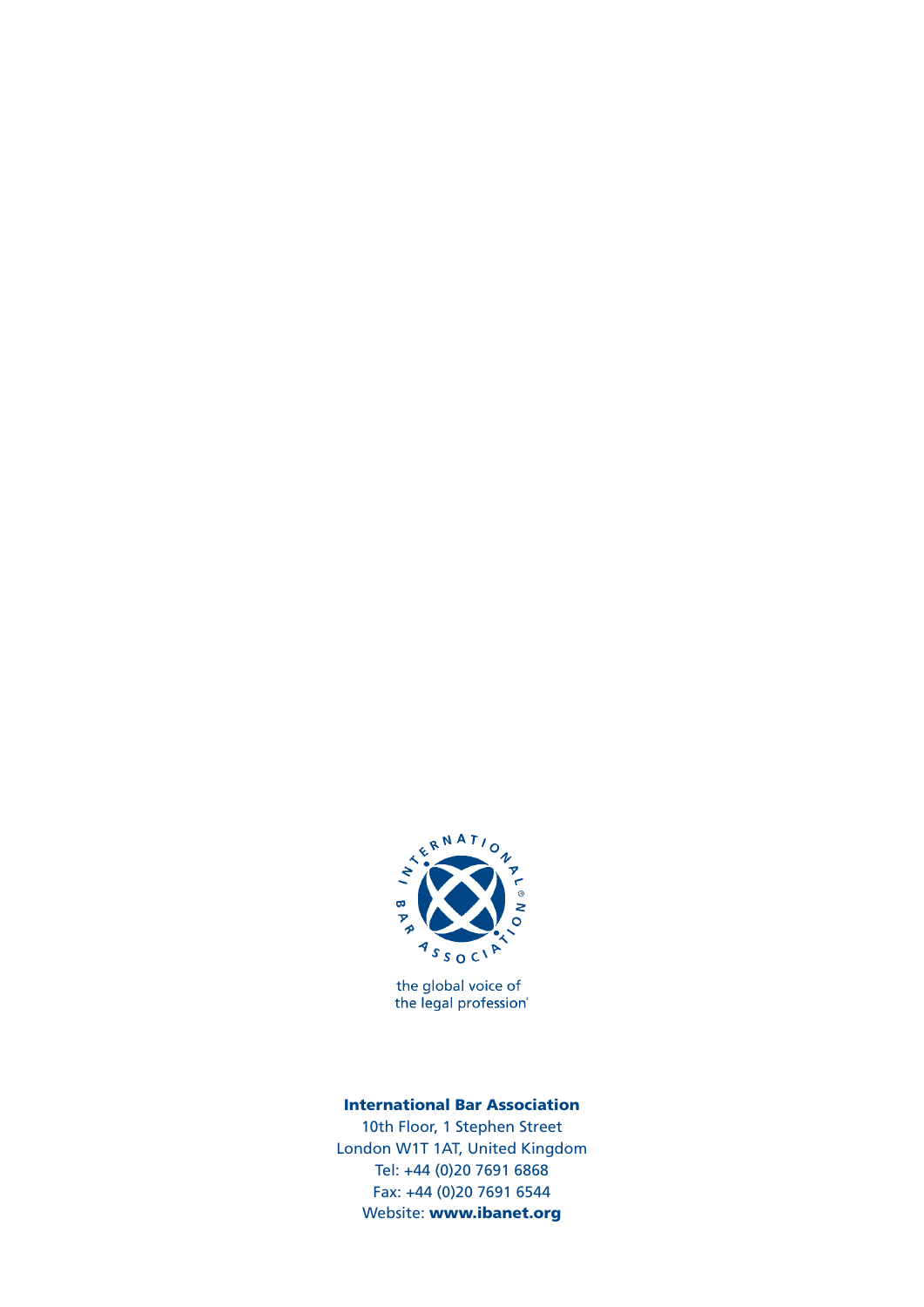

the global voice of the legal profession®

## International Bar Association

10th Floor, 1 Stephen Street London W1T 1AT, United Kingdom Tel: +44 (0)20 7691 6868 Fax: +44 (0)20 7691 6544 Website: www.ibanet.org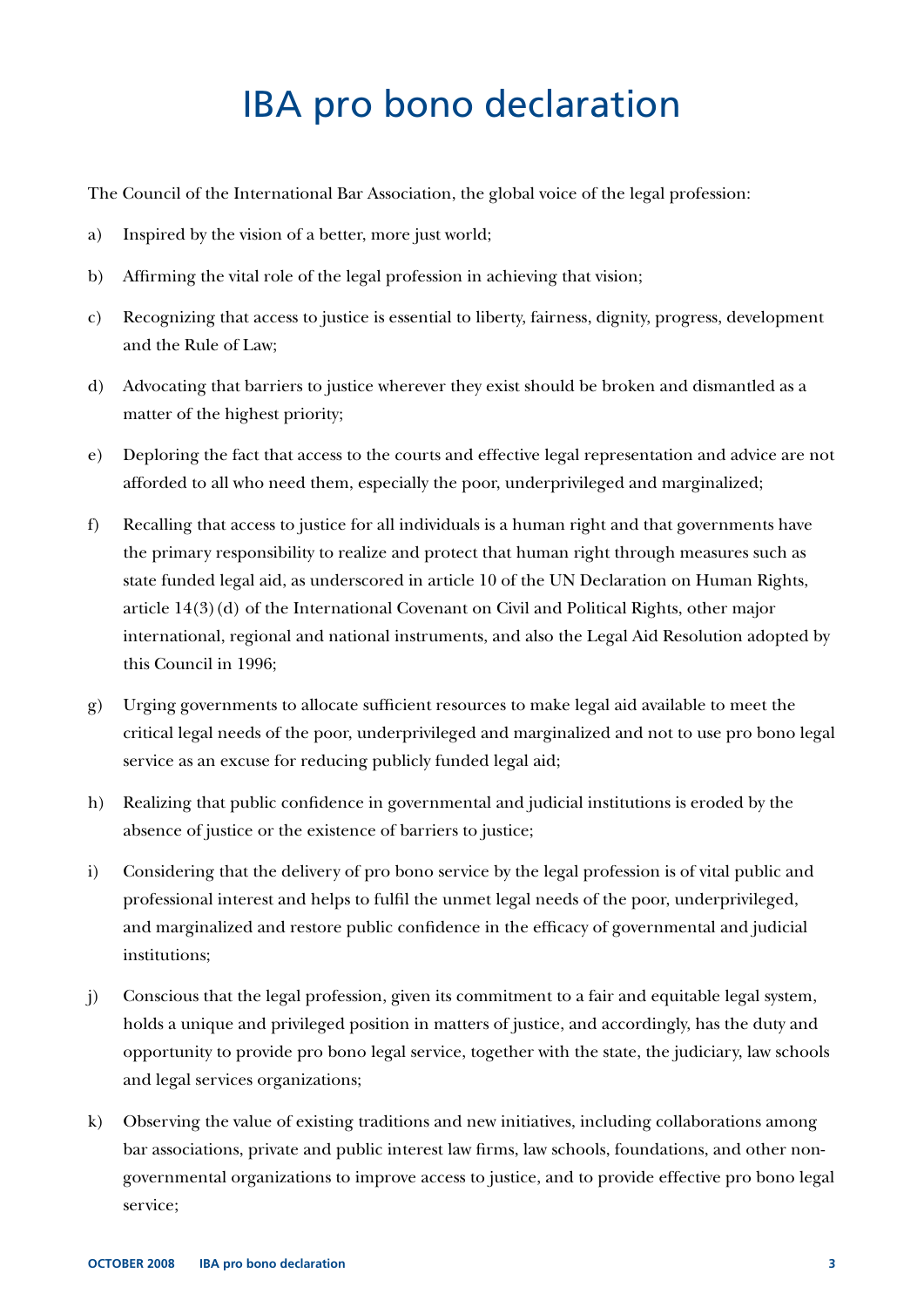## IBA pro bono declaration

The Council of the International Bar Association, the global voice of the legal profession:

- a) Inspired by the vision of a better, more just world;
- b) Affirming the vital role of the legal profession in achieving that vision;
- c) Recognizing that access to justice is essential to liberty, fairness, dignity, progress, development and the Rule of Law;
- d) Advocating that barriers to justice wherever they exist should be broken and dismantled as a matter of the highest priority;
- e) Deploring the fact that access to the courts and effective legal representation and advice are not afforded to all who need them, especially the poor, underprivileged and marginalized;
- f) Recalling that access to justice for all individuals is a human right and that governments have the primary responsibility to realize and protect that human right through measures such as state funded legal aid, as underscored in article 10 of the UN Declaration on Human Rights, article 14(3)(d) of the International Covenant on Civil and Political Rights, other major international, regional and national instruments, and also the Legal Aid Resolution adopted by this Council in 1996;
- g) Urging governments to allocate sufficient resources to make legal aid available to meet the critical legal needs of the poor, underprivileged and marginalized and not to use pro bono legal service as an excuse for reducing publicly funded legal aid;
- h) Realizing that public confidence in governmental and judicial institutions is eroded by the absence of justice or the existence of barriers to justice;
- i) Considering that the delivery of pro bono service by the legal profession is of vital public and professional interest and helps to fulfil the unmet legal needs of the poor, underprivileged, and marginalized and restore public confidence in the efficacy of governmental and judicial institutions;
- j) Conscious that the legal profession, given its commitment to a fair and equitable legal system, holds a unique and privileged position in matters of justice, and accordingly, has the duty and opportunity to provide pro bono legal service, together with the state, the judiciary, law schools and legal services organizations;
- k) Observing the value of existing traditions and new initiatives, including collaborations among bar associations, private and public interest law firms, law schools, foundations, and other nongovernmental organizations to improve access to justice, and to provide effective pro bono legal service;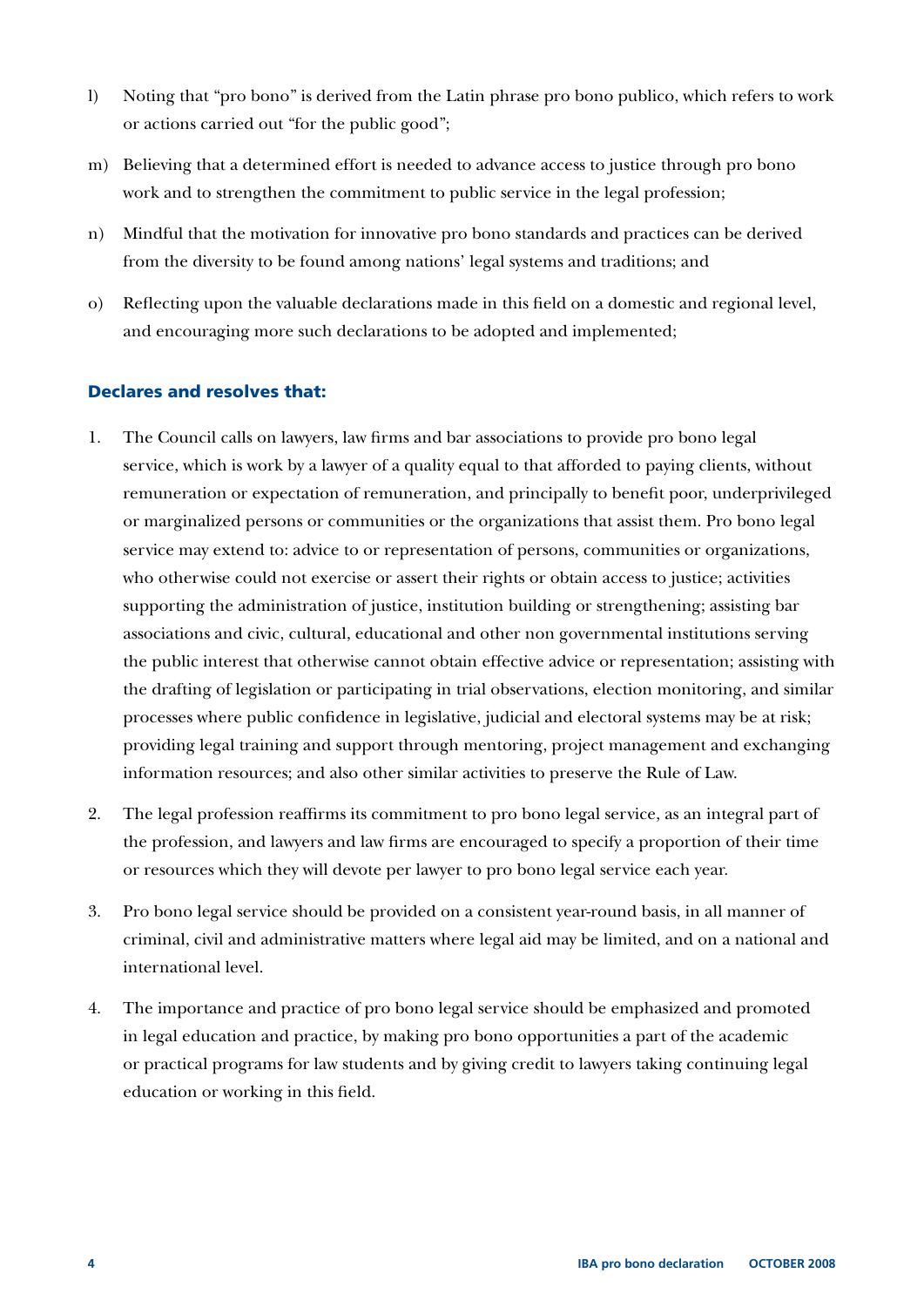- l) Noting that "pro bono" is derived from the Latin phrase pro bono publico, which refers to work or actions carried out "for the public good";
- m) Believing that a determined effort is needed to advance access to justice through pro bono work and to strengthen the commitment to public service in the legal profession;
- n) Mindful that the motivation for innovative pro bono standards and practices can be derived from the diversity to be found among nations' legal systems and traditions; and
- o) Reflecting upon the valuable declarations made in this field on a domestic and regional level, and encouraging more such declarations to be adopted and implemented;

## Declares and resolves that:

- 1. The Council calls on lawyers, law firms and bar associations to provide pro bono legal service, which is work by a lawyer of a quality equal to that afforded to paying clients, without remuneration or expectation of remuneration, and principally to benefit poor, underprivileged or marginalized persons or communities or the organizations that assist them. Pro bono legal service may extend to: advice to or representation of persons, communities or organizations, who otherwise could not exercise or assert their rights or obtain access to justice; activities supporting the administration of justice, institution building or strengthening; assisting bar associations and civic, cultural, educational and other non governmental institutions serving the public interest that otherwise cannot obtain effective advice or representation; assisting with the drafting of legislation or participating in trial observations, election monitoring, and similar processes where public confidence in legislative, judicial and electoral systems may be at risk; providing legal training and support through mentoring, project management and exchanging information resources; and also other similar activities to preserve the Rule of Law.
- 2. The legal profession reaffirms its commitment to pro bono legal service, as an integral part of the profession, and lawyers and law firms are encouraged to specify a proportion of their time or resources which they will devote per lawyer to pro bono legal service each year.
- 3. Pro bono legal service should be provided on a consistent year-round basis, in all manner of criminal, civil and administrative matters where legal aid may be limited, and on a national and international level.
- 4. The importance and practice of pro bono legal service should be emphasized and promoted in legal education and practice, by making pro bono opportunities a part of the academic or practical programs for law students and by giving credit to lawyers taking continuing legal education or working in this field.